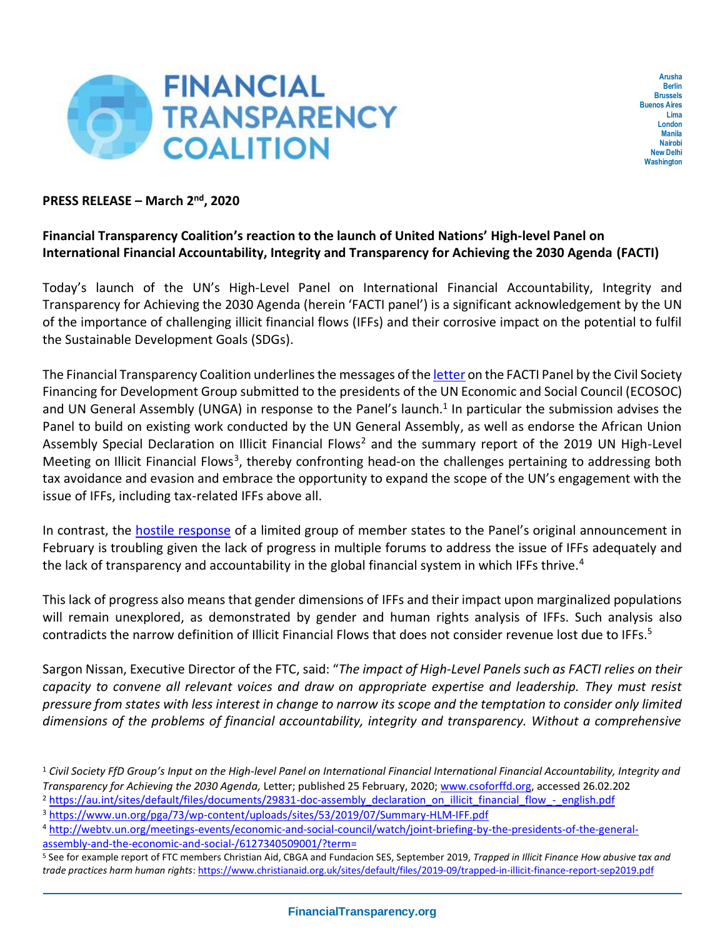

**Arusha Berlin Brussels Buenos Aires Lima London Manila Nairobi New Delhi Washington**

## **PRESS RELEASE – March 2nd, 2020**

## **Financial Transparency Coalition's reaction to the launch of United Nations' High-level Panel on International Financial Accountability, Integrity and Transparency for Achieving the 2030 Agenda (FACTI)**

Today's launch of the UN's High-Level Panel on International Financial Accountability, Integrity and Transparency for Achieving the 2030 Agenda (herein 'FACTI panel') is a significant acknowledgement by the UN of the importance of challenging illicit financial flows (IFFs) and their corrosive impact on the potential to fulfil the Sustainable Development Goals (SDGs).

The Financial Transparency Coalition underlines the messages of th[e letter](https://csoforffd.org/2020/02/25/civil-society-ffd-groups-input-on-the-high-level-panel-on-international-financial-accountability-integrity-and-transparency-for-achieving-the-2030-agenda/) on the FACTI Panel by the Civil Society Financing for Development Group submitted to the presidents of the UN Economic and Social Council (ECOSOC) and UN General Assembly (UNGA) in response to the Panel's launch.<sup>1</sup> In particular the submission advises the Panel to build on existing work conducted by the UN General Assembly, as well as endorse the African Union Assembly Special Declaration on Illicit Financial Flows<sup>2</sup> and the summary report of the 2019 UN High-Level Meeting on Illicit Financial Flows<sup>3</sup>, thereby confronting head-on the challenges pertaining to addressing both tax avoidance and evasion and embrace the opportunity to expand the scope of the UN's engagement with the issue of IFFs, including tax-related IFFs above all.

In contrast, the [hostile response](https://twitter.com/FinTrCo/status/1222191601491103750) of a limited group of member states to the Panel's original announcement in February is troubling given the lack of progress in multiple forums to address the issue of IFFs adequately and the lack of transparency and accountability in the global financial system in which IFFs thrive.<sup>4</sup>

This lack of progress also means that gender dimensions of IFFs and their impact upon marginalized populations will remain unexplored, as demonstrated by gender and human rights analysis of IFFs. Such analysis also contradicts the narrow definition of Illicit Financial Flows that does not consider revenue lost due to IFFs.<sup>5</sup>

Sargon Nissan, Executive Director of the FTC, said: "*The impact of High-Level Panels such as FACTI relies on their capacity to convene all relevant voices and draw on appropriate expertise and leadership. They must resist pressure from states with less interest in change to narrow its scope and the temptation to consider only limited dimensions of the problems of financial accountability, integrity and transparency. Without a comprehensive* 

- <sup>3</sup> <https://www.un.org/pga/73/wp-content/uploads/sites/53/2019/07/Summary-HLM-IFF.pdf>
- <sup>4</sup> [http://webtv.un.org/meetings-events/economic-and-social-council/watch/joint-briefing-by-the-presidents-of-the-general](http://webtv.un.org/meetings-events/economic-and-social-council/watch/joint-briefing-by-the-presidents-of-the-general-assembly-and-the-economic-and-social-/6127340509001/?term=)[assembly-and-the-economic-and-social-/6127340509001/?term=](http://webtv.un.org/meetings-events/economic-and-social-council/watch/joint-briefing-by-the-presidents-of-the-general-assembly-and-the-economic-and-social-/6127340509001/?term=)

<sup>1</sup> *Civil Society FfD Group's Input on the High-level Panel on International Financial International Financial Accountability, Integrity and Transparency for Achieving the 2030 Agenda,* Letter; published 25 February, 2020; [www.csoforffd.org,](http://www.csoforffd.org/) accessed 26.02.202

<sup>&</sup>lt;sup>2</sup> [https://au.int/sites/default/files/documents/29831-doc-assembly\\_declaration\\_on\\_illicit\\_financial\\_flow\\_-\\_english.pdf](https://au.int/sites/default/files/documents/29831-doc-assembly_declaration_on_illicit_financial_flow_-_english.pdf)

<sup>5</sup> See for example report of FTC members Christian Aid, CBGA and Fundacion SES, September 2019, *Trapped in Illicit Finance How abusive tax and trade practices harm human rights*: <https://www.christianaid.org.uk/sites/default/files/2019-09/trapped-in-illicit-finance-report-sep2019.pdf>